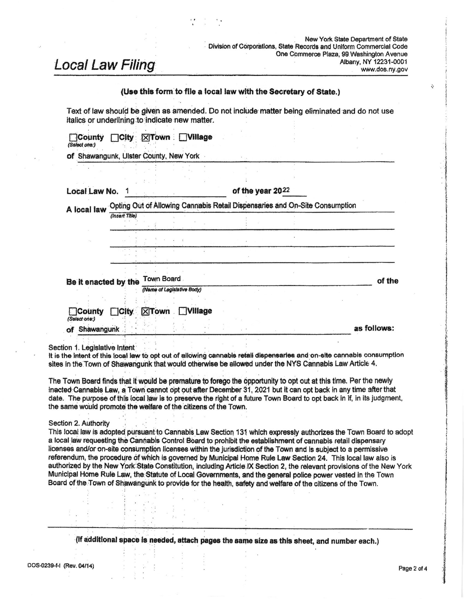New York State Department of State Division of Corporations. State Records and Uniform Commercial Code One Commerce Plaza, 99 Washington Avenue Albany, NY 12231-0001 www.dos.ny.gov

# **Local Law Filing**

# (Use this form to file a local law with the Secretary of State.)

Text of law should be given as amended. Do not include matter being eliminated and do not use italics or underlining to indicate new matter.

| Local Law No.                  |                |                                                                             |                | of the year 2022 |  |  |             |
|--------------------------------|----------------|-----------------------------------------------------------------------------|----------------|------------------|--|--|-------------|
| A local law                    |                | Opting Out of Allowing Cannabis Retail Dispensaries and On-Site Consumption |                |                  |  |  |             |
|                                | (Insert Title) |                                                                             |                |                  |  |  |             |
|                                |                |                                                                             |                |                  |  |  |             |
|                                |                |                                                                             |                |                  |  |  |             |
| Be it enacted by the           |                | Town Board                                                                  |                |                  |  |  | of the      |
|                                |                | (Name of Legislative Body)                                                  |                |                  |  |  |             |
| <b>County</b><br>(Select one:) | $\Box$ City    | $X$ Town                                                                    | <b>Nillage</b> |                  |  |  |             |
| of Shawangunk                  |                |                                                                             |                |                  |  |  | as follows: |

Section 1. Legislative Intent

It is the intent of this local law to opt out of allowing cannable retail dispensaries and on-site cannable consumption sites in the Town of Shawangunk that would otherwise be allowed under the NYS Cannabis Law Article 4.

The Town Board finds that it would be premature to forego the opportunity to opt out at this time. Per the newly inacted Cannabls Law, a Town cannot opt out after December 31, 2021 but it can opt back in any time after that date. The purpose of this local law is to preserve the right of a future Town Board to opt back in if, in its judgment, the same would promote the welfare of the citizens of the Town.

#### Section 2. Authority

This local law is adopted pursuant to Cannabis Law Section 131 which expressly authorizes the Town Board to adopt a local law requesting the Cannabis Control Board to prohibit the establishment of cannabis retail dispensary licenses and/or on-site consumption licenses within the jurisdiction of the Town and is subject to a permissive referendum, the procedure of which is governed by Municipal Home Rule Law Section 24. This local law also is authorized by the New York State Constitution, including Article IX Section 2, the relevant provisions of the New York Municipal Home Rule Law, the Statute of Local Governments, and the general police power vested in the Town Board of the Town of Shawangunk to provide for the health, safety and welfare of the citizens of the Town.

(if additional space is needed, attach pages the same size as this sheet, and number each.)

 $\ddot{\cdot}$